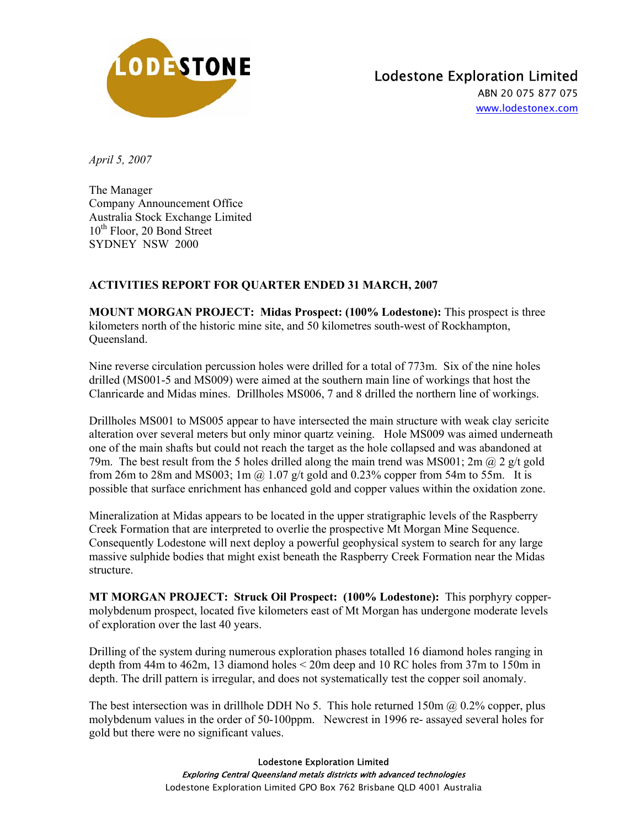

## Lodestone Exploration Limited

ABN 20 075 877 075 www.lodestonex.com

*April 5, 2007* 

The Manager Company Announcement Office Australia Stock Exchange Limited 10<sup>th</sup> Floor, 20 Bond Street SYDNEY NSW 2000

## **ACTIVITIES REPORT FOR QUARTER ENDED 31 MARCH, 2007**

**MOUNT MORGAN PROJECT: Midas Prospect: (100% Lodestone):** This prospect is three kilometers north of the historic mine site, and 50 kilometres south-west of Rockhampton, Queensland.

Nine reverse circulation percussion holes were drilled for a total of 773m. Six of the nine holes drilled (MS001-5 and MS009) were aimed at the southern main line of workings that host the Clanricarde and Midas mines. Drillholes MS006, 7 and 8 drilled the northern line of workings.

Drillholes MS001 to MS005 appear to have intersected the main structure with weak clay sericite alteration over several meters but only minor quartz veining. Hole MS009 was aimed underneath one of the main shafts but could not reach the target as the hole collapsed and was abandoned at 79m. The best result from the 5 holes drilled along the main trend was MS001; 2m  $\omega$  2 g/t gold from 26m to 28m and MS003; 1m  $\omega$  1.07 g/t gold and 0.23% copper from 54m to 55m. It is possible that surface enrichment has enhanced gold and copper values within the oxidation zone.

Mineralization at Midas appears to be located in the upper stratigraphic levels of the Raspberry Creek Formation that are interpreted to overlie the prospective Mt Morgan Mine Sequence. Consequently Lodestone will next deploy a powerful geophysical system to search for any large massive sulphide bodies that might exist beneath the Raspberry Creek Formation near the Midas structure.

**MT MORGAN PROJECT: Struck Oil Prospect: (100% Lodestone):** This porphyry coppermolybdenum prospect, located five kilometers east of Mt Morgan has undergone moderate levels of exploration over the last 40 years.

Drilling of the system during numerous exploration phases totalled 16 diamond holes ranging in depth from 44m to 462m, 13 diamond holes < 20m deep and 10 RC holes from 37m to 150m in depth. The drill pattern is irregular, and does not systematically test the copper soil anomaly.

The best intersection was in drillhole DDH No 5. This hole returned 150m  $\omega$  0.2% copper, plus molybdenum values in the order of 50-100ppm. Newcrest in 1996 re- assayed several holes for gold but there were no significant values.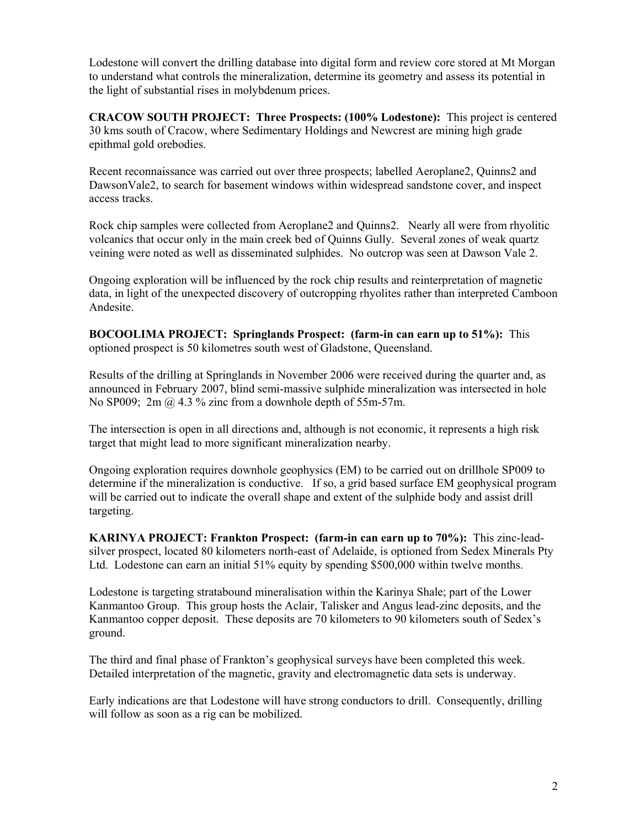Lodestone will convert the drilling database into digital form and review core stored at Mt Morgan to understand what controls the mineralization, determine its geometry and assess its potential in the light of substantial rises in molybdenum prices.

**CRACOW SOUTH PROJECT: Three Prospects: (100% Lodestone):** This project is centered 30 kms south of Cracow, where Sedimentary Holdings and Newcrest are mining high grade epithmal gold orebodies.

Recent reconnaissance was carried out over three prospects; labelled Aeroplane2, Quinns2 and DawsonVale2, to search for basement windows within widespread sandstone cover, and inspect access tracks.

Rock chip samples were collected from Aeroplane2 and Quinns2. Nearly all were from rhyolitic volcanics that occur only in the main creek bed of Quinns Gully. Several zones of weak quartz veining were noted as well as disseminated sulphides. No outcrop was seen at Dawson Vale 2.

Ongoing exploration will be influenced by the rock chip results and reinterpretation of magnetic data, in light of the unexpected discovery of outcropping rhyolites rather than interpreted Camboon Andesite.

**BOCOOLIMA PROJECT: Springlands Prospect: (farm-in can earn up to 51%):** This optioned prospect is 50 kilometres south west of Gladstone, Queensland.

Results of the drilling at Springlands in November 2006 were received during the quarter and, as announced in February 2007, blind semi-massive sulphide mineralization was intersected in hole No SP009; 2m  $\omega$  4.3 % zinc from a downhole depth of 55m-57m.

The intersection is open in all directions and, although is not economic, it represents a high risk target that might lead to more significant mineralization nearby.

Ongoing exploration requires downhole geophysics (EM) to be carried out on drillhole SP009 to determine if the mineralization is conductive. If so, a grid based surface EM geophysical program will be carried out to indicate the overall shape and extent of the sulphide body and assist drill targeting.

**KARINYA PROJECT: Frankton Prospect: (farm-in can earn up to 70%):** This zinc-leadsilver prospect, located 80 kilometers north-east of Adelaide, is optioned from Sedex Minerals Pty Ltd. Lodestone can earn an initial 51% equity by spending \$500,000 within twelve months.

Lodestone is targeting stratabound mineralisation within the Karinya Shale; part of the Lower Kanmantoo Group. This group hosts the Aclair, Talisker and Angus lead-zinc deposits, and the Kanmantoo copper deposit. These deposits are 70 kilometers to 90 kilometers south of Sedex's ground.

The third and final phase of Frankton's geophysical surveys have been completed this week. Detailed interpretation of the magnetic, gravity and electromagnetic data sets is underway.

Early indications are that Lodestone will have strong conductors to drill. Consequently, drilling will follow as soon as a rig can be mobilized.